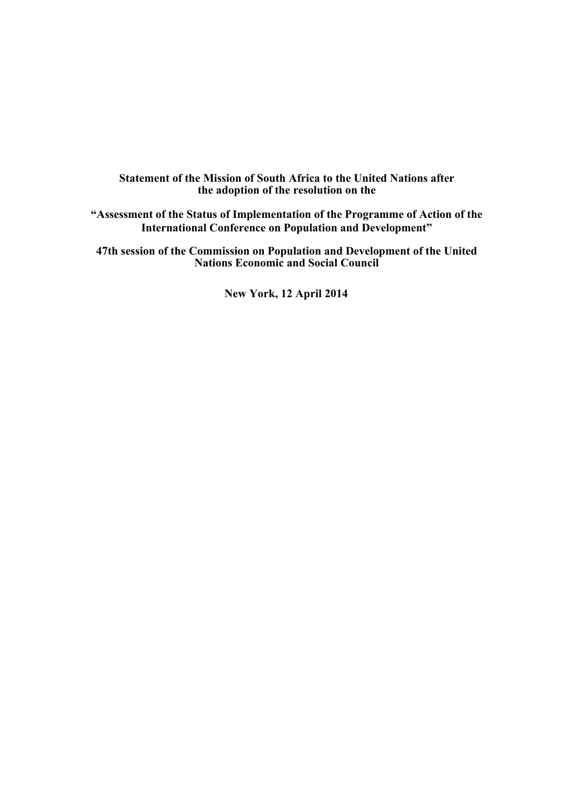## **Statement of the Mission of South Africa to the United Nations after the adoption of the resolution on the**

**"Assessment of the Status of Implementation of the Programme of Action of the International Conference on Population and Development"** 

**47th session of the Commission on Population and Development of the United Nations Economic and Social Council** 

**New York, 12 April 2014**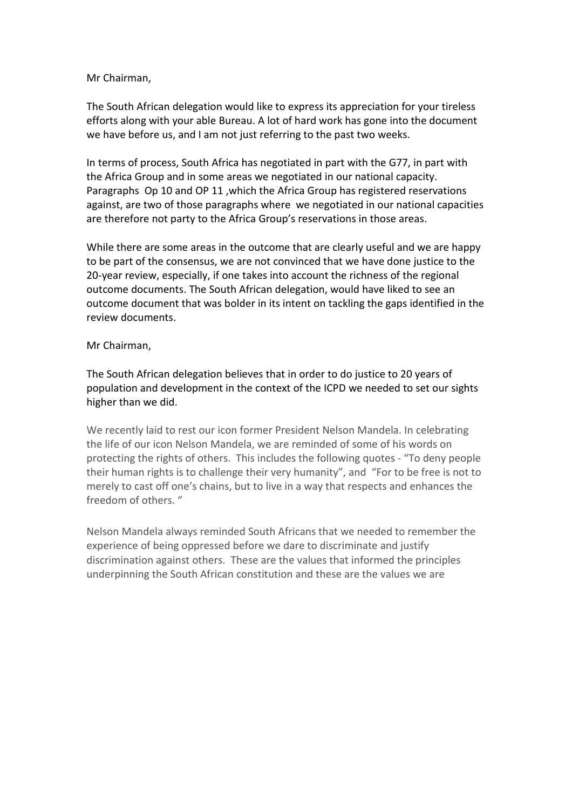## Mr Chairman,

The South African delegation would like to express its appreciation for your tireless efforts along with your able Bureau. A lot of hard work has gone into the document we have before us, and I am not just referring to the past two weeks.

In terms of process, South Africa has negotiated in part with the G77, in part with the Africa Group and in some areas we negotiated in our national capacity. Paragraphs Op 10 and OP 11 ,which the Africa Group has registered reservations against, are two of those paragraphs where we negotiated in our national capacities are therefore not party to the Africa Group's reservations in those areas.

While there are some areas in the outcome that are clearly useful and we are happy to be part of the consensus, we are not convinced that we have done justice to the 20-year review, especially, if one takes into account the richness of the regional outcome documents. The South African delegation, would have liked to see an outcome document that was bolder in its intent on tackling the gaps identified in the review documents.

## Mr Chairman,

The South African delegation believes that in order to do justice to 20 years of population and development in the context of the ICPD we needed to set our sights higher than we did.

We recently laid to rest our icon former President Nelson Mandela. In celebrating the life of our icon Nelson Mandela, we are reminded of some of his words on protecting the rights of others. This includes the following quotes - "To deny people their human rights is to challenge their very humanity", and "For to be free is not to merely to cast off one's chains, but to live in a way that respects and enhances the freedom of others. "

Nelson Mandela always reminded South Africans that we needed to remember the experience of being oppressed before we dare to discriminate and justify discrimination against others. These are the values that informed the principles underpinning the South African constitution and these are the values we are